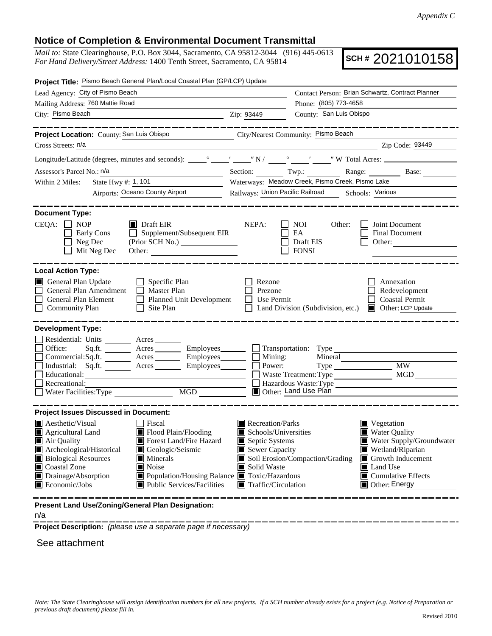## **Notice of Completion & Environmental Document Transmittal**

*Mail to:* State Clearinghouse, P.O. Box 3044, Sacramento, CA 95812-3044 (916) 445-0613 *For Hand Delivery/Street Address:* 1400 Tenth Street, Sacramento, CA 95814

**SCH #** 2021010158

| Project Title: Pismo Beach General Plan/Local Coastal Plan (GP/LCP) Update                                                                                                                                                                                                                                                                                                                                          |                                                                                                                                                                                                                                                                                                                                                                  |  |  |  |  |  |
|---------------------------------------------------------------------------------------------------------------------------------------------------------------------------------------------------------------------------------------------------------------------------------------------------------------------------------------------------------------------------------------------------------------------|------------------------------------------------------------------------------------------------------------------------------------------------------------------------------------------------------------------------------------------------------------------------------------------------------------------------------------------------------------------|--|--|--|--|--|
| Lead Agency: City of Pismo Beach                                                                                                                                                                                                                                                                                                                                                                                    | Contact Person: Brian Schwartz, Contract Planner                                                                                                                                                                                                                                                                                                                 |  |  |  |  |  |
| Mailing Address: 760 Mattie Road                                                                                                                                                                                                                                                                                                                                                                                    | Phone: (805) 773-4658                                                                                                                                                                                                                                                                                                                                            |  |  |  |  |  |
| City: Pismo Beach<br><u> 1989 - Johann Barn, fransk politik (d. 1989)</u>                                                                                                                                                                                                                                                                                                                                           | County: San Luis Obispo<br>Zip: 93449                                                                                                                                                                                                                                                                                                                            |  |  |  |  |  |
| __________                                                                                                                                                                                                                                                                                                                                                                                                          |                                                                                                                                                                                                                                                                                                                                                                  |  |  |  |  |  |
| Project Location: County: San Luis Obispo                                                                                                                                                                                                                                                                                                                                                                           | City/Nearest Community: Pismo Beach                                                                                                                                                                                                                                                                                                                              |  |  |  |  |  |
| Cross Streets: n/a                                                                                                                                                                                                                                                                                                                                                                                                  | Zip Code: 93449                                                                                                                                                                                                                                                                                                                                                  |  |  |  |  |  |
|                                                                                                                                                                                                                                                                                                                                                                                                                     |                                                                                                                                                                                                                                                                                                                                                                  |  |  |  |  |  |
| Assessor's Parcel No.: n/a                                                                                                                                                                                                                                                                                                                                                                                          | Section: Twp.: Range: Base:                                                                                                                                                                                                                                                                                                                                      |  |  |  |  |  |
| Within 2 Miles:                                                                                                                                                                                                                                                                                                                                                                                                     | Waterways: Meadow Creek, Pismo Creek, Pismo Lake                                                                                                                                                                                                                                                                                                                 |  |  |  |  |  |
| <b>Airports: Oceano County Airport</b>                                                                                                                                                                                                                                                                                                                                                                              | Railways: Union Pacific Railroad Schools: Various                                                                                                                                                                                                                                                                                                                |  |  |  |  |  |
| <b>Document Type:</b>                                                                                                                                                                                                                                                                                                                                                                                               |                                                                                                                                                                                                                                                                                                                                                                  |  |  |  |  |  |
| $CEQA: \Box NOP$<br>$\blacksquare$ Draft EIR<br>$\Box$ Supplement/Subsequent EIR<br>Early Cons<br>Neg Dec<br>Mit Neg Dec<br>Other:                                                                                                                                                                                                                                                                                  | NEPA:<br>NOI<br>Other:<br>Joint Document<br>EA<br><b>Final Document</b><br>Draft EIS<br>Other:<br><b>FONSI</b>                                                                                                                                                                                                                                                   |  |  |  |  |  |
| <b>Local Action Type:</b>                                                                                                                                                                                                                                                                                                                                                                                           |                                                                                                                                                                                                                                                                                                                                                                  |  |  |  |  |  |
| General Plan Update<br>$\Box$ Specific Plan<br>General Plan Amendment<br>Master Plan<br>General Plan Element<br>Planned Unit Development<br>$\Box$ Community Plan<br>Site Plan<br>$\mathsf{L}$                                                                                                                                                                                                                      | Rezone<br>Annexation<br>Prezone<br>Redevelopment<br>Use Permit<br><b>Coastal Permit</b><br>Land Division (Subdivision, etc.)<br>Other: LCP Update                                                                                                                                                                                                                |  |  |  |  |  |
| <b>Development Type:</b>                                                                                                                                                                                                                                                                                                                                                                                            |                                                                                                                                                                                                                                                                                                                                                                  |  |  |  |  |  |
| Residential: Units _________ Acres _______<br>Office:<br>Acres Employees<br>Sq.fit.<br>Commercial:Sq.ft. ________ Acres _________ Employees________<br>Industrial: Sq.ft.<br>Acres Employees<br>Educational:<br><u> 1980 - Johann Barn, mars eta bainar eta idazlea (</u><br>Recreational:<br>$\overline{MGD}$                                                                                                      | $\Box$ Transportation: Type<br>$\Box$ Mining:<br>Mineral<br>Power:<br>$\overline{\text{MW}}$<br>MGD<br>Waste Treatment: Type<br>Hazardous Waste:Type<br>Other: Land Use Plan                                                                                                                                                                                     |  |  |  |  |  |
| <b>Project Issues Discussed in Document:</b>                                                                                                                                                                                                                                                                                                                                                                        |                                                                                                                                                                                                                                                                                                                                                                  |  |  |  |  |  |
| $\blacksquare$ Aesthetic/Visual<br>  Fiscal<br>Flood Plain/Flooding<br>Agricultural Land<br>$\blacksquare$ Air Quality<br>Forest Land/Fire Hazard<br>Archeological/Historical<br>Geologic/Seismic<br><b>Biological Resources</b><br><b>Minerals</b><br>Coastal Zone<br>Noise<br>Drainage/Absorption<br>■ Population/Housing Balance ■ Toxic/Hazardous<br>$\blacksquare$ Economic/Jobs<br>Public Services/Facilities | Recreation/Parks<br>$\blacksquare$ Vegetation<br>Schools/Universities<br><b>Water Quality</b><br>Septic Systems<br>Water Supply/Groundwater<br>Sewer Capacity<br>Wetland/Riparian<br>Soil Erosion/Compaction/Grading<br>Growth Inducement<br>Solid Waste<br>$\blacksquare$ Land Use<br>$\blacksquare$ Cumulative Effects<br>Traffic/Circulation<br>Other: Energy |  |  |  |  |  |
| Present Land Use/Zoning/General Plan Designation:                                                                                                                                                                                                                                                                                                                                                                   |                                                                                                                                                                                                                                                                                                                                                                  |  |  |  |  |  |

n/a

**Project Description:** *(please use a separate page if necessary)*

See attachment